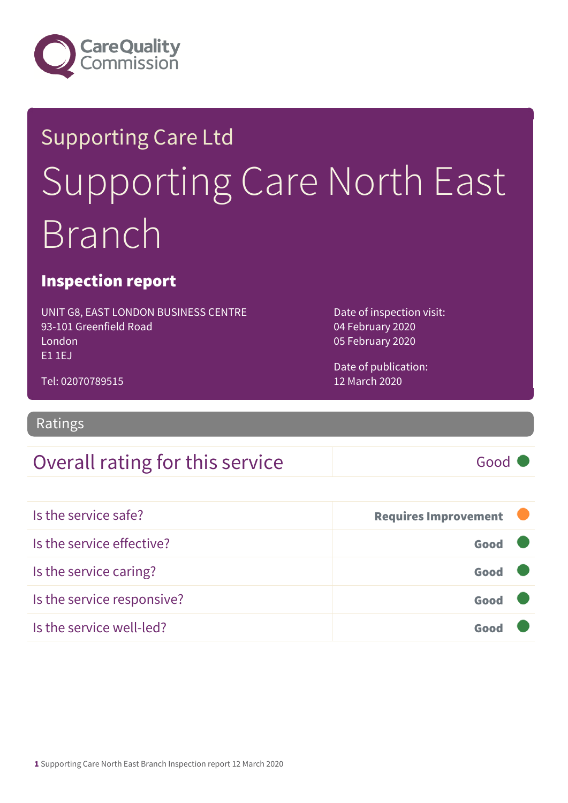

# Supporting Care Ltd Supporting Care North East Branch

### Inspection report

UNIT G8, EAST LONDON BUSINESS CENTRE 93-101 Greenfield Road London E1 1EJ

Date of inspection visit: 04 February 2020 05 February 2020

Date of publication: 12 March 2020

Tel: 02070789515

Ratings

### Overall rating for this service and the Good Good

| Is the service safe?       | <b>Requires Improvement</b> |  |
|----------------------------|-----------------------------|--|
| Is the service effective?  | Good                        |  |
| Is the service caring?     | Good                        |  |
| Is the service responsive? | Good                        |  |
| Is the service well-led?   |                             |  |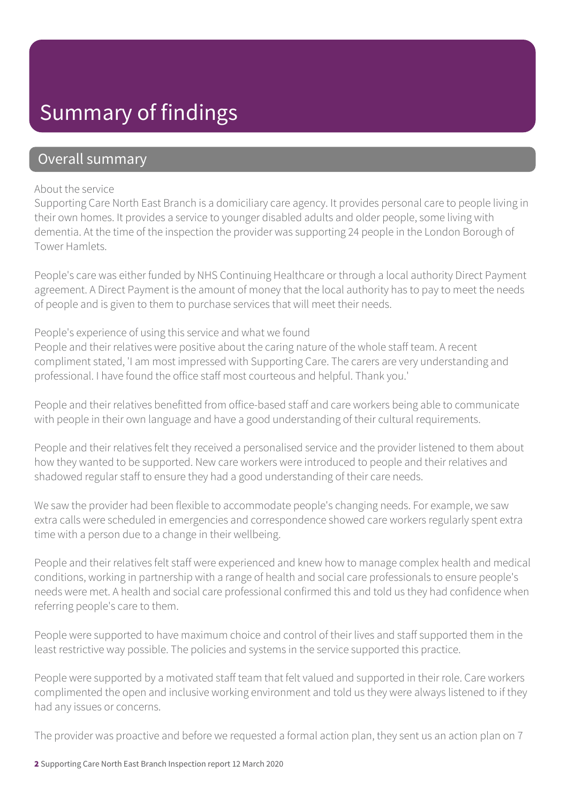### Summary of findings

### Overall summary

#### About the service

Supporting Care North East Branch is a domiciliary care agency. It provides personal care to people living in their own homes. It provides a service to younger disabled adults and older people, some living with dementia. At the time of the inspection the provider was supporting 24 people in the London Borough of Tower Hamlets.

People's care was either funded by NHS Continuing Healthcare or through a local authority Direct Payment agreement. A Direct Payment is the amount of money that the local authority has to pay to meet the needs of people and is given to them to purchase services that will meet their needs.

### People's experience of using this service and what we found

People and their relatives were positive about the caring nature of the whole staff team. A recent compliment stated, 'I am most impressed with Supporting Care. The carers are very understanding and professional. I have found the office staff most courteous and helpful. Thank you.'

People and their relatives benefitted from office-based staff and care workers being able to communicate with people in their own language and have a good understanding of their cultural requirements.

People and their relatives felt they received a personalised service and the provider listened to them about how they wanted to be supported. New care workers were introduced to people and their relatives and shadowed regular staff to ensure they had a good understanding of their care needs.

We saw the provider had been flexible to accommodate people's changing needs. For example, we saw extra calls were scheduled in emergencies and correspondence showed care workers regularly spent extra time with a person due to a change in their wellbeing.

People and their relatives felt staff were experienced and knew how to manage complex health and medical conditions, working in partnership with a range of health and social care professionals to ensure people's needs were met. A health and social care professional confirmed this and told us they had confidence when referring people's care to them.

People were supported to have maximum choice and control of their lives and staff supported them in the least restrictive way possible. The policies and systems in the service supported this practice.

People were supported by a motivated staff team that felt valued and supported in their role. Care workers complimented the open and inclusive working environment and told us they were always listened to if they had any issues or concerns.

The provider was proactive and before we requested a formal action plan, they sent us an action plan on 7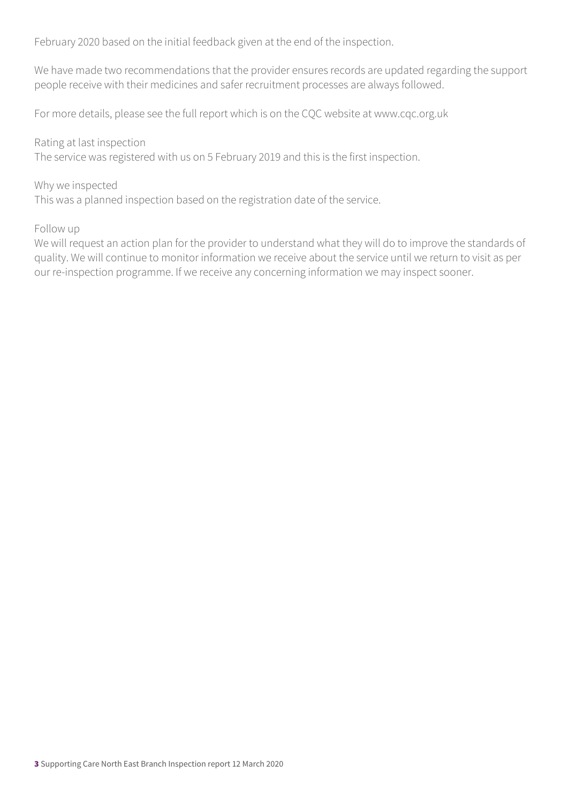February 2020 based on the initial feedback given at the end of the inspection.

We have made two recommendations that the provider ensures records are updated regarding the support people receive with their medicines and safer recruitment processes are always followed.

For more details, please see the full report which is on the CQC website at www.cqc.org.uk

Rating at last inspection The service was registered with us on 5 February 2019 and this is the first inspection.

#### Why we inspected

This was a planned inspection based on the registration date of the service.

#### Follow up

We will request an action plan for the provider to understand what they will do to improve the standards of quality. We will continue to monitor information we receive about the service until we return to visit as per our re-inspection programme. If we receive any concerning information we may inspect sooner.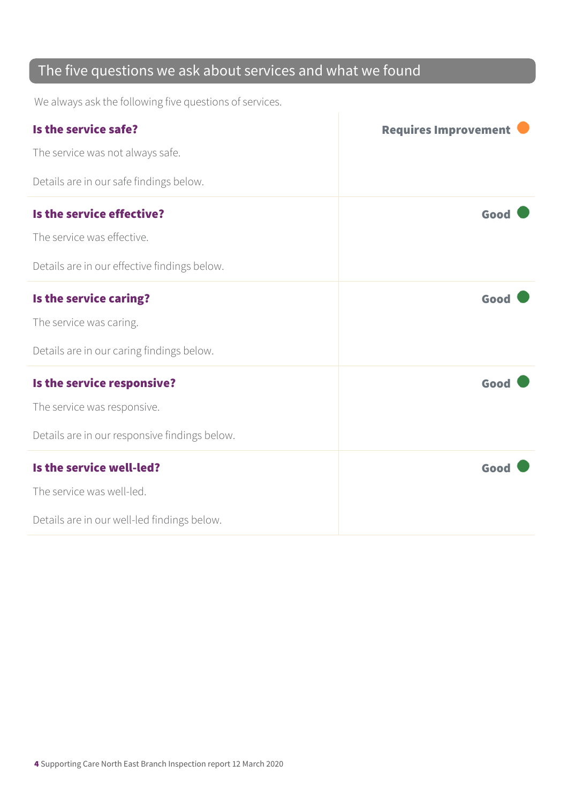### The five questions we ask about services and what we found

We always ask the following five questions of services.

| Is the service safe?                          | <b>Requires Improvement</b> |
|-----------------------------------------------|-----------------------------|
| The service was not always safe.              |                             |
| Details are in our safe findings below.       |                             |
| Is the service effective?                     | Good                        |
| The service was effective.                    |                             |
| Details are in our effective findings below.  |                             |
| Is the service caring?                        | Good                        |
| The service was caring.                       |                             |
| Details are in our caring findings below.     |                             |
| Is the service responsive?                    | Good                        |
| The service was responsive.                   |                             |
| Details are in our responsive findings below. |                             |
| Is the service well-led?                      | Good                        |
| The service was well-led.                     |                             |
| Details are in our well-led findings below.   |                             |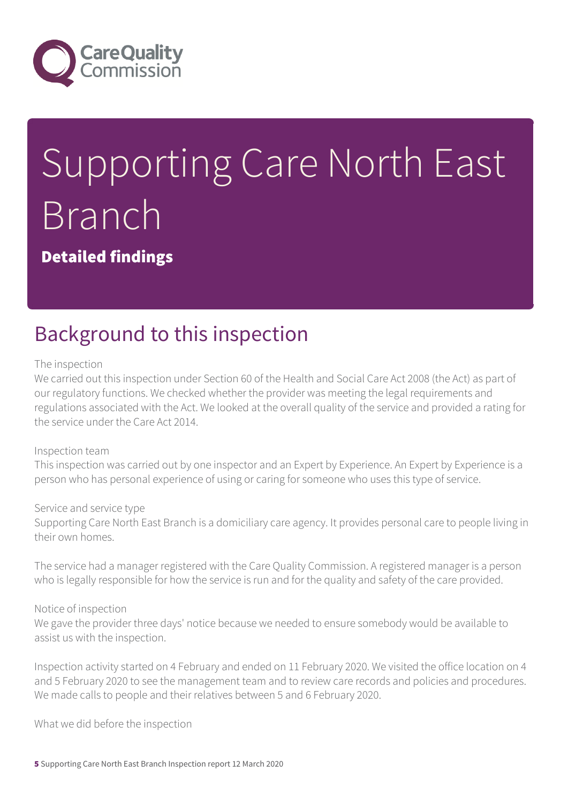

# Supporting Care North East Branch

Detailed findings

### Background to this inspection

#### The inspection

We carried out this inspection under Section 60 of the Health and Social Care Act 2008 (the Act) as part of our regulatory functions. We checked whether the provider was meeting the legal requirements and regulations associated with the Act. We looked at the overall quality of the service and provided a rating for the service under the Care Act 2014.

#### Inspection team

This inspection was carried out by one inspector and an Expert by Experience. An Expert by Experience is a person who has personal experience of using or caring for someone who uses this type of service.

#### Service and service type

Supporting Care North East Branch is a domiciliary care agency. It provides personal care to people living in their own homes.

The service had a manager registered with the Care Quality Commission. A registered manager is a person who is legally responsible for how the service is run and for the quality and safety of the care provided.

#### Notice of inspection

We gave the provider three days' notice because we needed to ensure somebody would be available to assist us with the inspection.

Inspection activity started on 4 February and ended on 11 February 2020. We visited the office location on 4 and 5 February 2020 to see the management team and to review care records and policies and procedures. We made calls to people and their relatives between 5 and 6 February 2020.

What we did before the inspection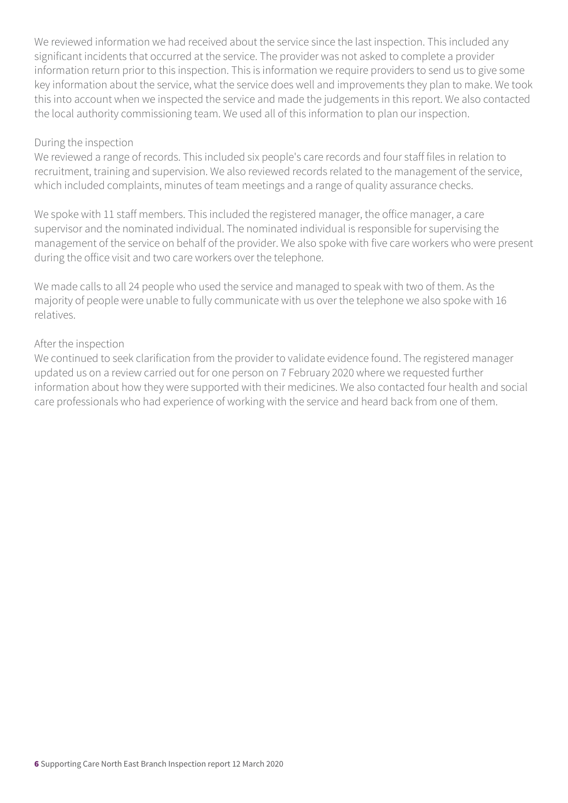We reviewed information we had received about the service since the last inspection. This included any significant incidents that occurred at the service. The provider was not asked to complete a provider information return prior to this inspection. This is information we require providers to send us to give some key information about the service, what the service does well and improvements they plan to make. We took this into account when we inspected the service and made the judgements in this report. We also contacted the local authority commissioning team. We used all of this information to plan our inspection.

#### During the inspection

We reviewed a range of records. This included six people's care records and four staff files in relation to recruitment, training and supervision. We also reviewed records related to the management of the service, which included complaints, minutes of team meetings and a range of quality assurance checks.

We spoke with 11 staff members. This included the registered manager, the office manager, a care supervisor and the nominated individual. The nominated individual is responsible for supervising the management of the service on behalf of the provider. We also spoke with five care workers who were present during the office visit and two care workers over the telephone.

We made calls to all 24 people who used the service and managed to speak with two of them. As the majority of people were unable to fully communicate with us over the telephone we also spoke with 16 relatives.

### After the inspection

We continued to seek clarification from the provider to validate evidence found. The registered manager updated us on a review carried out for one person on 7 February 2020 where we requested further information about how they were supported with their medicines. We also contacted four health and social care professionals who had experience of working with the service and heard back from one of them.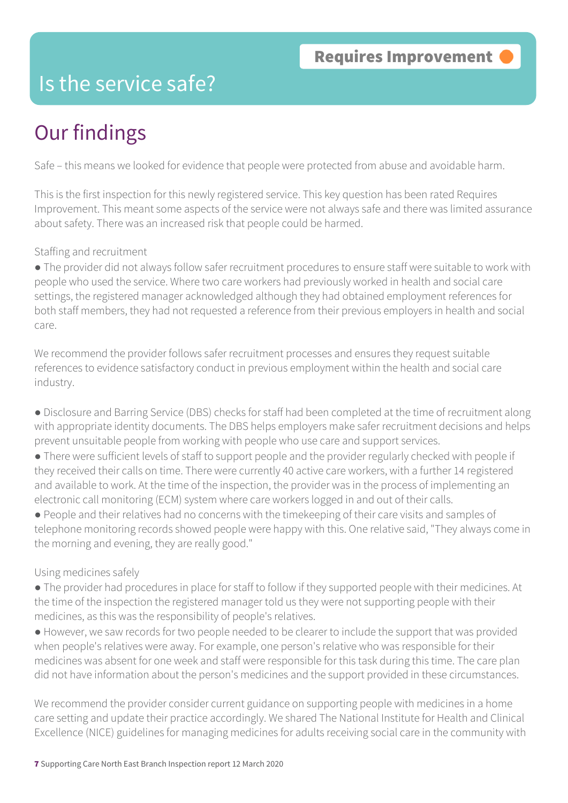### Is the service safe?

## Our findings

Safe – this means we looked for evidence that people were protected from abuse and avoidable harm.

This is the first inspection for this newly registered service. This key question has been rated Requires Improvement. This meant some aspects of the service were not always safe and there was limited assurance about safety. There was an increased risk that people could be harmed.

### Staffing and recruitment

● The provider did not always follow safer recruitment procedures to ensure staff were suitable to work with people who used the service. Where two care workers had previously worked in health and social care settings, the registered manager acknowledged although they had obtained employment references for both staff members, they had not requested a reference from their previous employers in health and social care.

We recommend the provider follows safer recruitment processes and ensures they request suitable references to evidence satisfactory conduct in previous employment within the health and social care industry.

- Disclosure and Barring Service (DBS) checks for staff had been completed at the time of recruitment along with appropriate identity documents. The DBS helps employers make safer recruitment decisions and helps prevent unsuitable people from working with people who use care and support services.
- There were sufficient levels of staff to support people and the provider regularly checked with people if they received their calls on time. There were currently 40 active care workers, with a further 14 registered and available to work. At the time of the inspection, the provider was in the process of implementing an electronic call monitoring (ECM) system where care workers logged in and out of their calls.
- People and their relatives had no concerns with the timekeeping of their care visits and samples of telephone monitoring records showed people were happy with this. One relative said, "They always come in the morning and evening, they are really good."

### Using medicines safely

- The provider had procedures in place for staff to follow if they supported people with their medicines. At the time of the inspection the registered manager told us they were not supporting people with their medicines, as this was the responsibility of people's relatives.
- However, we saw records for two people needed to be clearer to include the support that was provided when people's relatives were away. For example, one person's relative who was responsible for their medicines was absent for one week and staff were responsible for this task during this time. The care plan did not have information about the person's medicines and the support provided in these circumstances.

We recommend the provider consider current guidance on supporting people with medicines in a home care setting and update their practice accordingly. We shared The National Institute for Health and Clinical Excellence (NICE) guidelines for managing medicines for adults receiving social care in the community with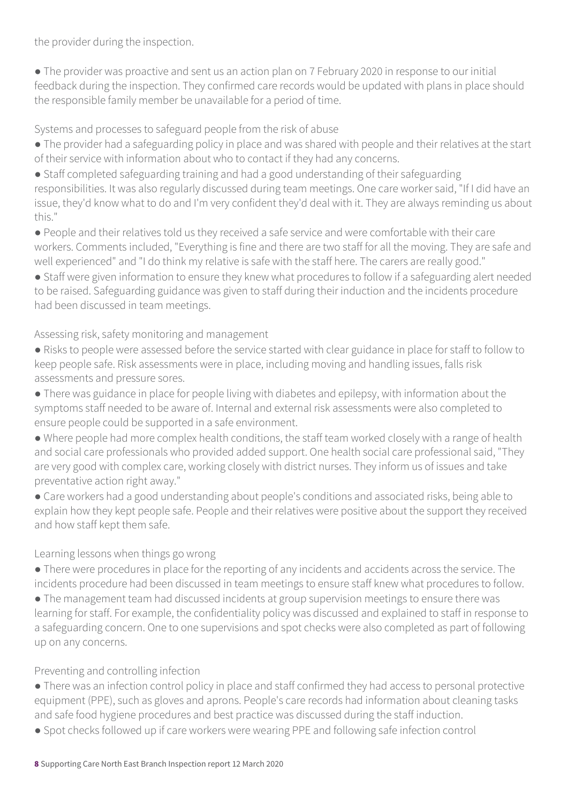the provider during the inspection.

● The provider was proactive and sent us an action plan on 7 February 2020 in response to our initial feedback during the inspection. They confirmed care records would be updated with plans in place should the responsible family member be unavailable for a period of time.

Systems and processes to safeguard people from the risk of abuse

● The provider had a safeguarding policy in place and was shared with people and their relatives at the start of their service with information about who to contact if they had any concerns.

● Staff completed safeguarding training and had a good understanding of their safeguarding responsibilities. It was also regularly discussed during team meetings. One care worker said, "If I did have an issue, they'd know what to do and I'm very confident they'd deal with it. They are always reminding us about this."

● People and their relatives told us they received a safe service and were comfortable with their care workers. Comments included, "Everything is fine and there are two staff for all the moving. They are safe and well experienced" and "I do think my relative is safe with the staff here. The carers are really good."

● Staff were given information to ensure they knew what procedures to follow if a safeguarding alert needed to be raised. Safeguarding guidance was given to staff during their induction and the incidents procedure had been discussed in team meetings.

Assessing risk, safety monitoring and management

- Risks to people were assessed before the service started with clear guidance in place for staff to follow to keep people safe. Risk assessments were in place, including moving and handling issues, falls risk assessments and pressure sores.
- There was guidance in place for people living with diabetes and epilepsy, with information about the symptoms staff needed to be aware of. Internal and external risk assessments were also completed to ensure people could be supported in a safe environment.
- Where people had more complex health conditions, the staff team worked closely with a range of health and social care professionals who provided added support. One health social care professional said, "They are very good with complex care, working closely with district nurses. They inform us of issues and take preventative action right away."
- Care workers had a good understanding about people's conditions and associated risks, being able to explain how they kept people safe. People and their relatives were positive about the support they received and how staff kept them safe.

### Learning lessons when things go wrong

● There were procedures in place for the reporting of any incidents and accidents across the service. The incidents procedure had been discussed in team meetings to ensure staff knew what procedures to follow.

● The management team had discussed incidents at group supervision meetings to ensure there was learning for staff. For example, the confidentiality policy was discussed and explained to staff in response to a safeguarding concern. One to one supervisions and spot checks were also completed as part of following up on any concerns.

### Preventing and controlling infection

- There was an infection control policy in place and staff confirmed they had access to personal protective equipment (PPE), such as gloves and aprons. People's care records had information about cleaning tasks and safe food hygiene procedures and best practice was discussed during the staff induction.
- Spot checks followed up if care workers were wearing PPE and following safe infection control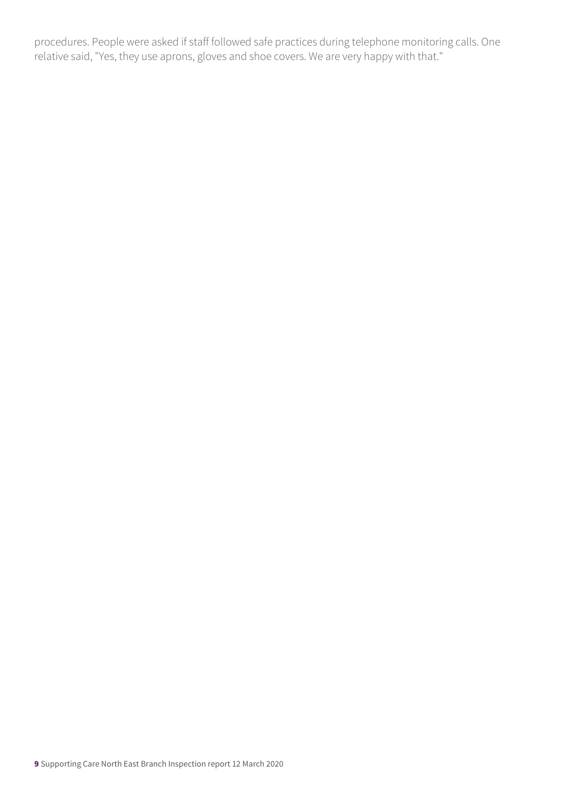procedures. People were asked if staff followed safe practices during telephone monitoring calls. One relative said, "Yes, they use aprons, gloves and shoe covers. We are very happy with that."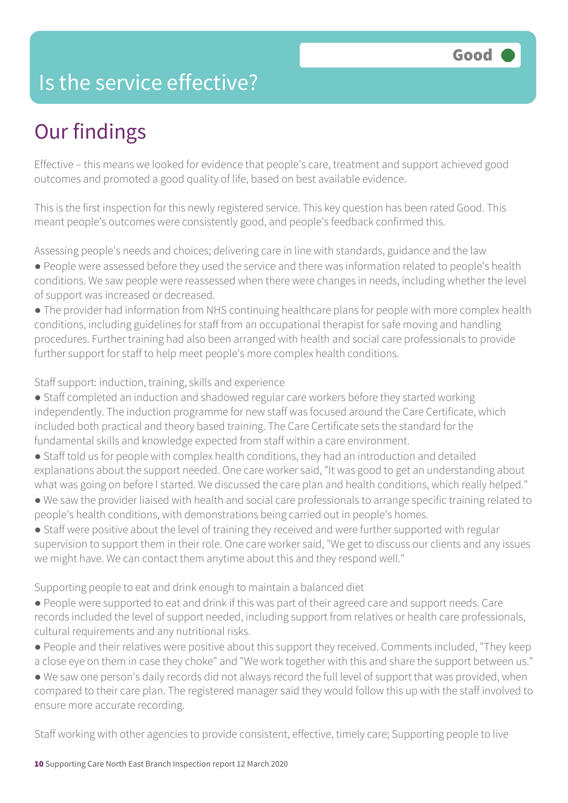### Is the service effective?

# Our findings

Effective – this means we looked for evidence that people's care, treatment and support achieved good outcomes and promoted a good quality of life, based on best available evidence.

This is the first inspection for this newly registered service. This key question has been rated Good. This meant people's outcomes were consistently good, and people's feedback confirmed this.

Assessing people's needs and choices; delivering care in line with standards, guidance and the law

- People were assessed before they used the service and there was information related to people's health conditions. We saw people were reassessed when there were changes in needs, including whether the level of support was increased or decreased.
- The provider had information from NHS continuing healthcare plans for people with more complex health conditions, including guidelines for staff from an occupational therapist for safe moving and handling procedures. Further training had also been arranged with health and social care professionals to provide further support for staff to help meet people's more complex health conditions.

Staff support: induction, training, skills and experience

- Staff completed an induction and shadowed regular care workers before they started working independently. The induction programme for new staff was focused around the Care Certificate, which included both practical and theory based training. The Care Certificate sets the standard for the fundamental skills and knowledge expected from staff within a care environment.
- Staff told us for people with complex health conditions, they had an introduction and detailed explanations about the support needed. One care worker said, "It was good to get an understanding about what was going on before I started. We discussed the care plan and health conditions, which really helped."
- We saw the provider liaised with health and social care professionals to arrange specific training related to people's health conditions, with demonstrations being carried out in people's homes.
- Staff were positive about the level of training they received and were further supported with regular supervision to support them in their role. One care worker said, "We get to discuss our clients and any issues we might have. We can contact them anytime about this and they respond well."

Supporting people to eat and drink enough to maintain a balanced diet

- People were supported to eat and drink if this was part of their agreed care and support needs. Care records included the level of support needed, including support from relatives or health care professionals, cultural requirements and any nutritional risks.
- People and their relatives were positive about this support they received. Comments included, "They keep a close eye on them in case they choke" and "We work together with this and share the support between us."
- We saw one person's daily records did not always record the full level of support that was provided, when compared to their care plan. The registered manager said they would follow this up with the staff involved to ensure more accurate recording.

Staff working with other agencies to provide consistent, effective, timely care; Supporting people to live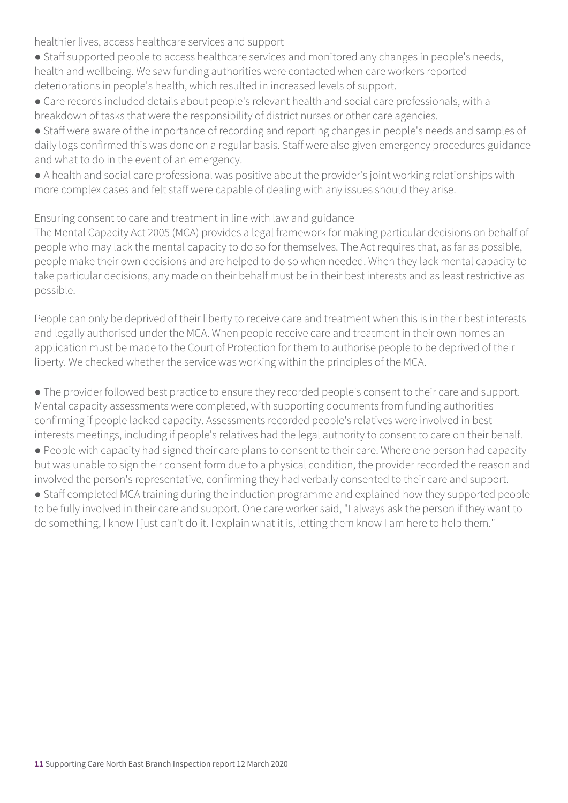healthier lives, access healthcare services and support

- Staff supported people to access healthcare services and monitored any changes in people's needs, health and wellbeing. We saw funding authorities were contacted when care workers reported deteriorations in people's health, which resulted in increased levels of support.
- Care records included details about people's relevant health and social care professionals, with a breakdown of tasks that were the responsibility of district nurses or other care agencies.
- Staff were aware of the importance of recording and reporting changes in people's needs and samples of daily logs confirmed this was done on a regular basis. Staff were also given emergency procedures guidance and what to do in the event of an emergency.
- A health and social care professional was positive about the provider's joint working relationships with more complex cases and felt staff were capable of dealing with any issues should they arise.

### Ensuring consent to care and treatment in line with law and guidance

The Mental Capacity Act 2005 (MCA) provides a legal framework for making particular decisions on behalf of people who may lack the mental capacity to do so for themselves. The Act requires that, as far as possible, people make their own decisions and are helped to do so when needed. When they lack mental capacity to take particular decisions, any made on their behalf must be in their best interests and as least restrictive as possible.

People can only be deprived of their liberty to receive care and treatment when this is in their best interests and legally authorised under the MCA. When people receive care and treatment in their own homes an application must be made to the Court of Protection for them to authorise people to be deprived of their liberty. We checked whether the service was working within the principles of the MCA.

● The provider followed best practice to ensure they recorded people's consent to their care and support. Mental capacity assessments were completed, with supporting documents from funding authorities confirming if people lacked capacity. Assessments recorded people's relatives were involved in best interests meetings, including if people's relatives had the legal authority to consent to care on their behalf.

● People with capacity had signed their care plans to consent to their care. Where one person had capacity but was unable to sign their consent form due to a physical condition, the provider recorded the reason and involved the person's representative, confirming they had verbally consented to their care and support.

• Staff completed MCA training during the induction programme and explained how they supported people to be fully involved in their care and support. One care worker said, "I always ask the person if they want to do something, I know I just can't do it. I explain what it is, letting them know I am here to help them."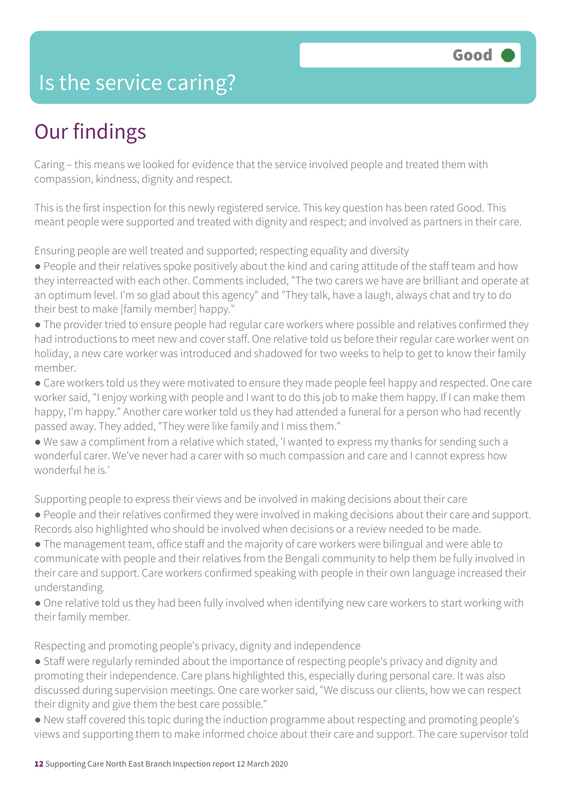### Is the service caring?

### Our findings

Caring – this means we looked for evidence that the service involved people and treated them with compassion, kindness, dignity and respect.

This is the first inspection for this newly registered service. This key question has been rated Good. This meant people were supported and treated with dignity and respect; and involved as partners in their care.

Ensuring people are well treated and supported; respecting equality and diversity

● People and their relatives spoke positively about the kind and caring attitude of the staff team and how they interreacted with each other. Comments included, "The two carers we have are brilliant and operate at an optimum level. I'm so glad about this agency" and "They talk, have a laugh, always chat and try to do their best to make [family member] happy."

• The provider tried to ensure people had regular care workers where possible and relatives confirmed they had introductions to meet new and cover staff. One relative told us before their regular care worker went on holiday, a new care worker was introduced and shadowed for two weeks to help to get to know their family member.

● Care workers told us they were motivated to ensure they made people feel happy and respected. One care worker said, "I enjoy working with people and I want to do this job to make them happy. If I can make them happy, I'm happy." Another care worker told us they had attended a funeral for a person who had recently passed away. They added, "They were like family and I miss them."

● We saw a compliment from a relative which stated, 'I wanted to express my thanks for sending such a wonderful carer. We've never had a carer with so much compassion and care and I cannot express how wonderful he is.'

Supporting people to express their views and be involved in making decisions about their care

● People and their relatives confirmed they were involved in making decisions about their care and support. Records also highlighted who should be involved when decisions or a review needed to be made.

● The management team, office staff and the majority of care workers were bilingual and were able to communicate with people and their relatives from the Bengali community to help them be fully involved in their care and support. Care workers confirmed speaking with people in their own language increased their understanding.

• One relative told us they had been fully involved when identifying new care workers to start working with their family member.

Respecting and promoting people's privacy, dignity and independence

● Staff were regularly reminded about the importance of respecting people's privacy and dignity and promoting their independence. Care plans highlighted this, especially during personal care. It was also discussed during supervision meetings. One care worker said, "We discuss our clients, how we can respect their dignity and give them the best care possible."

● New staff covered this topic during the induction programme about respecting and promoting people's views and supporting them to make informed choice about their care and support. The care supervisor told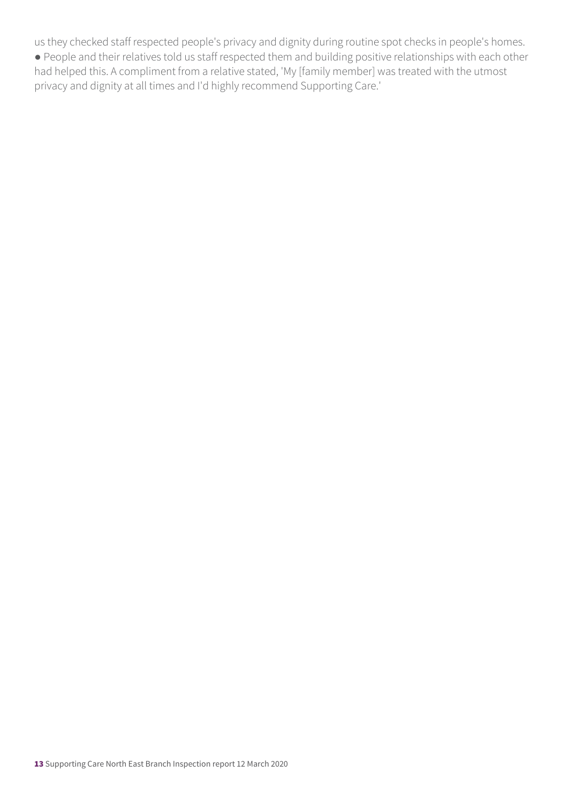us they checked staff respected people's privacy and dignity during routine spot checks in people's homes.

● People and their relatives told us staff respected them and building positive relationships with each other had helped this. A compliment from a relative stated, 'My [family member] was treated with the utmost privacy and dignity at all times and I'd highly recommend Supporting Care.'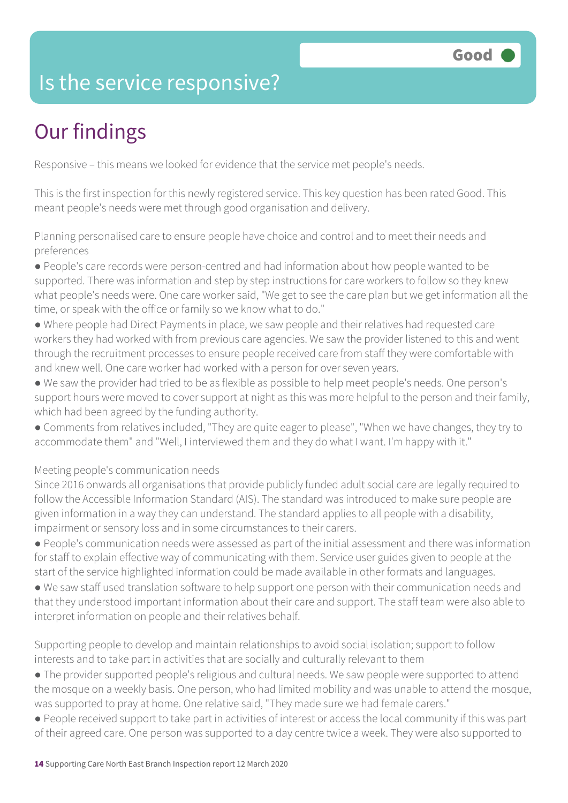### Is the service responsive?

# Our findings

Responsive – this means we looked for evidence that the service met people's needs.

This is the first inspection for this newly registered service. This key question has been rated Good. This meant people's needs were met through good organisation and delivery.

Planning personalised care to ensure people have choice and control and to meet their needs and preferences

● People's care records were person-centred and had information about how people wanted to be supported. There was information and step by step instructions for care workers to follow so they knew what people's needs were. One care worker said, "We get to see the care plan but we get information all the time, or speak with the office or family so we know what to do."

- Where people had Direct Payments in place, we saw people and their relatives had requested care workers they had worked with from previous care agencies. We saw the provider listened to this and went through the recruitment processes to ensure people received care from staff they were comfortable with and knew well. One care worker had worked with a person for over seven years.
- We saw the provider had tried to be as flexible as possible to help meet people's needs. One person's support hours were moved to cover support at night as this was more helpful to the person and their family, which had been agreed by the funding authority.
- Comments from relatives included, "They are quite eager to please", "When we have changes, they try to accommodate them" and "Well, I interviewed them and they do what I want. I'm happy with it."

Meeting people's communication needs

Since 2016 onwards all organisations that provide publicly funded adult social care are legally required to follow the Accessible Information Standard (AIS). The standard was introduced to make sure people are given information in a way they can understand. The standard applies to all people with a disability, impairment or sensory loss and in some circumstances to their carers.

- People's communication needs were assessed as part of the initial assessment and there was information for staff to explain effective way of communicating with them. Service user guides given to people at the start of the service highlighted information could be made available in other formats and languages.
- We saw staff used translation software to help support one person with their communication needs and that they understood important information about their care and support. The staff team were also able to interpret information on people and their relatives behalf.

Supporting people to develop and maintain relationships to avoid social isolation; support to follow interests and to take part in activities that are socially and culturally relevant to them

- The provider supported people's religious and cultural needs. We saw people were supported to attend the mosque on a weekly basis. One person, who had limited mobility and was unable to attend the mosque, was supported to pray at home. One relative said, "They made sure we had female carers."
- People received support to take part in activities of interest or access the local community if this was part of their agreed care. One person was supported to a day centre twice a week. They were also supported to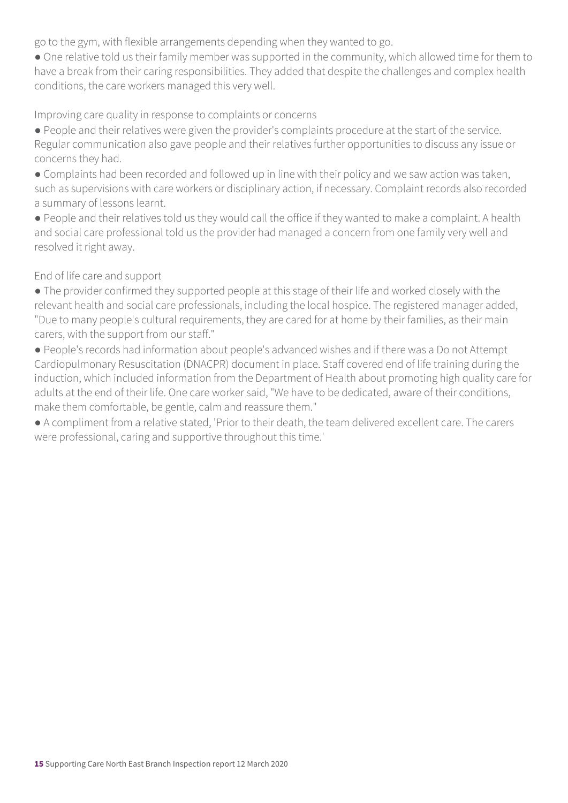go to the gym, with flexible arrangements depending when they wanted to go.

● One relative told us their family member was supported in the community, which allowed time for them to have a break from their caring responsibilities. They added that despite the challenges and complex health conditions, the care workers managed this very well.

Improving care quality in response to complaints or concerns

- People and their relatives were given the provider's complaints procedure at the start of the service. Regular communication also gave people and their relatives further opportunities to discuss any issue or concerns they had.
- Complaints had been recorded and followed up in line with their policy and we saw action was taken, such as supervisions with care workers or disciplinary action, if necessary. Complaint records also recorded a summary of lessons learnt.
- People and their relatives told us they would call the office if they wanted to make a complaint. A health and social care professional told us the provider had managed a concern from one family very well and resolved it right away.

End of life care and support

- The provider confirmed they supported people at this stage of their life and worked closely with the relevant health and social care professionals, including the local hospice. The registered manager added, "Due to many people's cultural requirements, they are cared for at home by their families, as their main carers, with the support from our staff."
- People's records had information about people's advanced wishes and if there was a Do not Attempt Cardiopulmonary Resuscitation (DNACPR) document in place. Staff covered end of life training during the induction, which included information from the Department of Health about promoting high quality care for adults at the end of their life. One care worker said, "We have to be dedicated, aware of their conditions, make them comfortable, be gentle, calm and reassure them."
- A compliment from a relative stated, 'Prior to their death, the team delivered excellent care. The carers were professional, caring and supportive throughout this time.'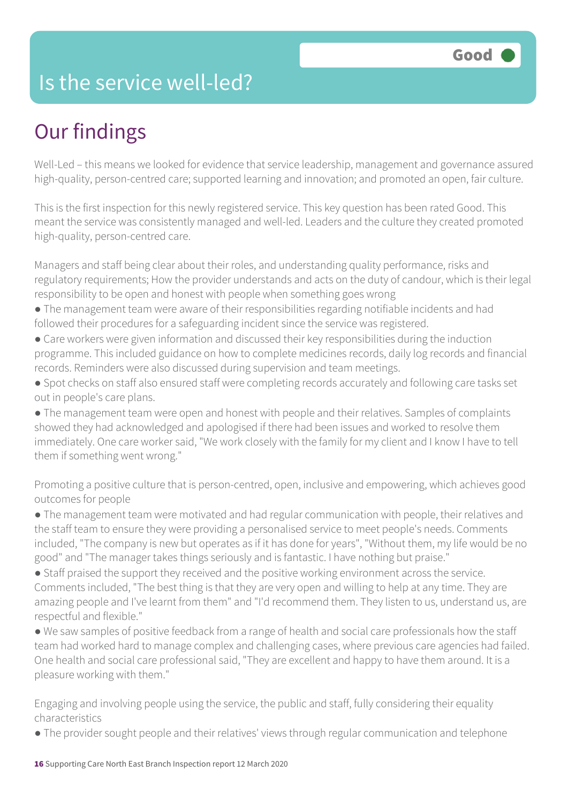### Is the service well-led?

## Our findings

Well-Led – this means we looked for evidence that service leadership, management and governance assured high-quality, person-centred care; supported learning and innovation; and promoted an open, fair culture.

This is the first inspection for this newly registered service. This key question has been rated Good. This meant the service was consistently managed and well-led. Leaders and the culture they created promoted high-quality, person-centred care.

Managers and staff being clear about their roles, and understanding quality performance, risks and regulatory requirements; How the provider understands and acts on the duty of candour, which is their legal responsibility to be open and honest with people when something goes wrong

- The management team were aware of their responsibilities regarding notifiable incidents and had followed their procedures for a safeguarding incident since the service was registered.
- Care workers were given information and discussed their key responsibilities during the induction programme. This included guidance on how to complete medicines records, daily log records and financial records. Reminders were also discussed during supervision and team meetings.
- Spot checks on staff also ensured staff were completing records accurately and following care tasks set out in people's care plans.

● The management team were open and honest with people and their relatives. Samples of complaints showed they had acknowledged and apologised if there had been issues and worked to resolve them immediately. One care worker said, "We work closely with the family for my client and I know I have to tell them if something went wrong."

Promoting a positive culture that is person-centred, open, inclusive and empowering, which achieves good outcomes for people

● The management team were motivated and had regular communication with people, their relatives and the staff team to ensure they were providing a personalised service to meet people's needs. Comments included, "The company is new but operates as if it has done for years", "Without them, my life would be no good" and "The manager takes things seriously and is fantastic. I have nothing but praise."

● Staff praised the support they received and the positive working environment across the service. Comments included, "The best thing is that they are very open and willing to help at any time. They are amazing people and I've learnt from them" and "I'd recommend them. They listen to us, understand us, are respectful and flexible."

● We saw samples of positive feedback from a range of health and social care professionals how the staff team had worked hard to manage complex and challenging cases, where previous care agencies had failed. One health and social care professional said, "They are excellent and happy to have them around. It is a pleasure working with them."

Engaging and involving people using the service, the public and staff, fully considering their equality characteristics

● The provider sought people and their relatives' views through regular communication and telephone